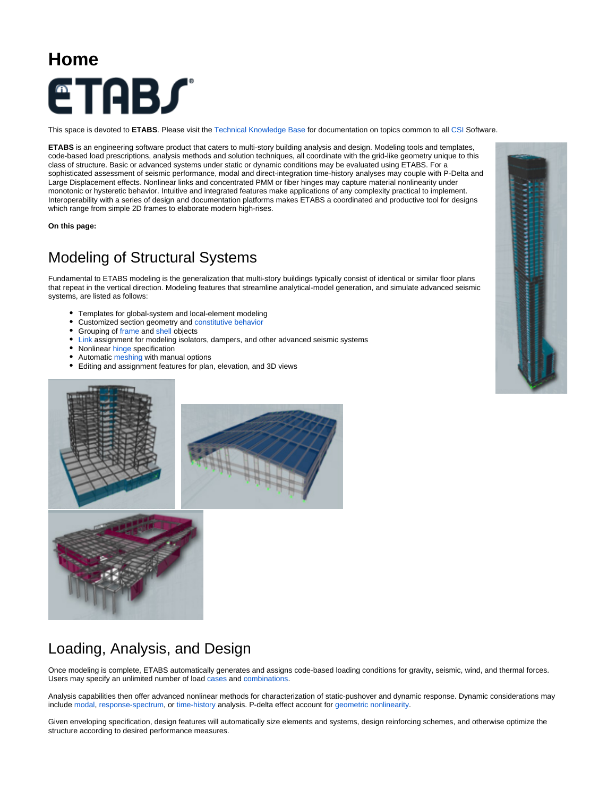## **Home ETABS**

This space is devoted to **ETABS**. Please visit the [Technical Knowledge Base](https://wiki.csiamerica.com/display/kb/Home) for documentation on topics common to all [CSI](http://www.csiberkeley.com) Software.

**ETABS** is an engineering software product that caters to multi-story building analysis and design. Modeling tools and templates, code-based load prescriptions, analysis methods and solution techniques, all coordinate with the grid-like geometry unique to this class of structure. Basic or advanced systems under static or dynamic conditions may be evaluated using ETABS. For a sophisticated assessment of seismic performance, modal and direct-integration time-history analyses may couple with P-Delta and Large Displacement effects. Nonlinear links and concentrated PMM or fiber hinges may capture material nonlinearity under monotonic or hysteretic behavior. Intuitive and integrated features make applications of any complexity practical to implement. Interoperability with a series of design and documentation platforms makes ETABS a coordinated and productive tool for designs which range from simple 2D frames to elaborate modern high-rises.

**On this page:**

## Modeling of Structural Systems

Fundamental to ETABS modeling is the generalization that multi-story buildings typically consist of identical or similar floor plans that repeat in the vertical direction. Modeling features that streamline analytical-model generation, and simulate advanced seismic systems, are listed as follows:

- Templates for global-system and local-element modeling
- Customized section geometry and [constitutive behavior](https://wiki.csiamerica.com/display/kb/Material+nonlinearity)
- Grouping of [frame](https://wiki.csiamerica.com/display/kb/Frame) and [shell](https://wiki.csiamerica.com/display/kb/Shell) objects
- [Link](https://wiki.csiamerica.com/display/kb/Link) assignment for modeling isolators, dampers, and other advanced seismic systems
- Nonlinear [hinge](https://wiki.csiamerica.com/display/kb/Hinge) specification
- Automatic [meshing](https://wiki.csiamerica.com/display/kb/Discretization) with manual options
- $\bullet$ Editing and assignment features for plan, elevation, and 3D views





## Loading, Analysis, and Design

Once modeling is complete, ETABS automatically generates and assigns code-based loading conditions for gravity, seismic, wind, and thermal forces. Users may specify an unlimited number of load [cases](https://wiki.csiamerica.com/display/kb/Load+case) and [combinations](https://wiki.csiamerica.com/display/kb/Load+combination).

Analysis capabilities then offer advanced nonlinear methods for characterization of static-pushover and dynamic response. Dynamic considerations may include [modal](https://wiki.csiamerica.com/display/kb/Modal+analysis), [response-spectrum,](https://wiki.csiamerica.com/display/kb/Response-spectrum+analysis) or [time-history](https://wiki.csiamerica.com/display/kb/Time-history+analysis) analysis. P-delta effect account for [geometric nonlinearity.](https://wiki.csiamerica.com/display/kb/P-Delta+effect)

Given enveloping specification, design features will automatically size elements and systems, design reinforcing schemes, and otherwise optimize the structure according to desired performance measures.